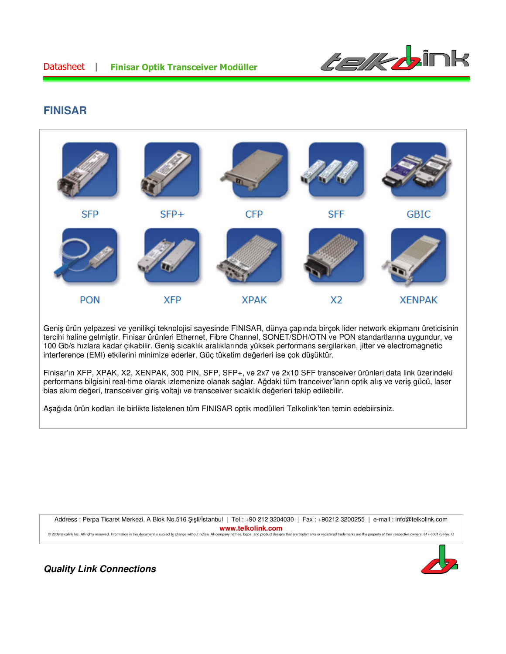

# **FINISAR**



Geniş ürün yelpazesi ve yenilikçi teknolojisi sayesinde FINISAR, dünya çapında birçok lider network ekipmanı üreticisinin tercihi haline gelmiştir. Finisar ürünleri Ethernet, Fibre Channel, SONET/SDH/OTN ve PON standartlarına uygundur, ve 100 Gb/s hızlara kadar çıkabilir. Geniş sıcaklık aralıklarında yüksek performans sergilerken, jitter ve electromagnetic interference (EMI) etkilerini minimize ederler. Güç tüketim değerleri ise çok düşüktür.

Finisar'ın XFP, XPAK, X2, XENPAK, 300 PIN, SFP, SFP+, ve 2x7 ve 2x10 SFF transceiver ürünleri data link üzerindeki performans bilgisini real-time olarak izlemenize olanak sağlar. Ağdaki tüm tranceiver'ların optik alış ve veriş gücü, laser bias akım değeri, transceiver giriş voltajı ve transceiver sıcaklık değerleri takip edilebilir.

Aşağıda ürün kodları ile birlikte listelenen tüm FINISAR optik modülleri Telkolink'ten temin edebiirsiniz.

Address : Perpa Ticaret Merkezi, A Blok No.516 Şişli/İstanbul | Tel : +90 212 3204030 | Fax : +90212 3200255 | e-mail : info@telkolink.com **WWW.telkolink.com**<br>privany names, logos, and product designs that are trademarks or registered trademarks are the property of their respective owners. 617-000175 Rev. C © 2009 telcolink Inc. All rights reserved. Information in this document is subject to change without notice. All company na

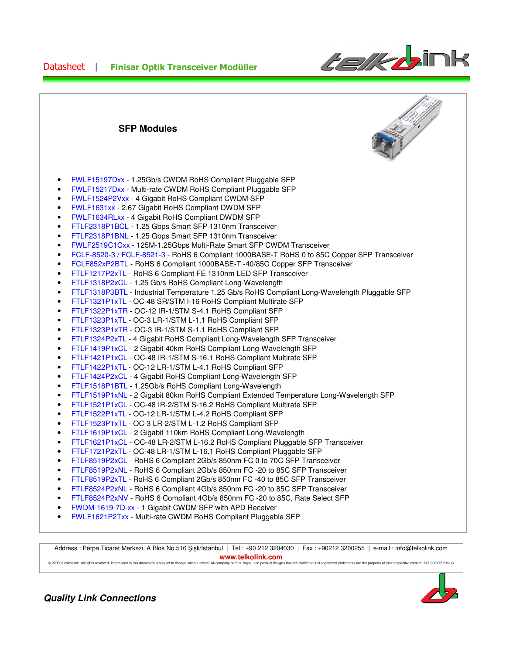

**SFP Modules** 

- FWLF15197Dxx 1.25Gb/s CWDM RoHS Compliant Pluggable SFP
- FWLF15217Dxx Multi-rate CWDM RoHS Compliant Pluggable SFP
- FWLF1524P2Vxx 4 Gigabit RoHS Compliant CWDM SFP
- FWLF1631xx 2.67 Gigabit RoHS Compliant DWDM SFP
- FWLF1634RLxx 4 Gigabit RoHS Compliant DWDM SFP
- FTLF2318P1BCL 1.25 Gbps Smart SFP 1310nm Transceiver
- FTLF2318P1BNL 1.25 Gbps Smart SFP 1310nm Transceiver
- FWLF2519C1Cxx 125M-1.25Gbps Multi-Rate Smart SFP CWDM Transceiver
- FCLF-8520-3 / FCLF-8521-3 RoHS 6 Compliant 1000BASE-T RoHS 0 to 85C Copper SFP Transceiver
- FCLF852xP2BTL RoHS 6 Compliant 1000BASE-T -40/85C Copper SFP Transceiver
- FTLF1217P2xTL RoHS 6 Compliant FE 1310nm LED SFP Transceiver
- FTLF1318P2xCL 1.25 Gb/s RoHS Compliant Long-Wavelength
- FTLF1318P3BTL Industrial Temperature 1.25 Gb/s RoHS Compliant Long-Wavelength Pluggable SFP
- FTLF1321P1xTL OC-48 SR/STM I-16 RoHS Compliant Multirate SFP
- FTLF1322P1xTR OC-12 IR-1/STM S-4.1 RoHS Compliant SFP
- FTLF1323P1xTL OC-3 LR-1/STM L-1.1 RoHS Compliant SFP
- FTLF1323P1xTR OC-3 IR-1/STM S-1.1 RoHS Compliant SFP
- FTLF1324P2xTL 4 Gigabit RoHS Compliant Long-Wavelength SFP Transceiver
- FTLF1419P1xCL 2 Gigabit 40km RoHS Compliant Long-Wavelength SFP
- FTLF1421P1xCL OC-48 IR-1/STM S-16.1 RoHS Compliant Multirate SFP
- FTLF1422P1xTL OC-12 LR-1/STM L-4.1 RoHS Compliant SFP
- FTLF1424P2xCL 4 Gigabit RoHS Compliant Long-Wavelength SFP
- FTLF1518P1BTL 1.25Gb/s RoHS Compliant Long-Wavelength
- FTLF1519P1xNL 2 Gigabit 80km RoHS Compliant Extended Temperature Long-Wavelength SFP
- FTLF1521P1xCL OC-48 IR-2/STM S-16.2 RoHS Compliant Multirate SFP
- FTLF1522P1xTL OC-12 LR-1/STM L-4.2 RoHS Compliant SFP
- FTLF1523P1xTL OC-3 LR-2/STM L-1.2 RoHS Compliant SFP
- FTLF1619P1xCL 2 Gigabit 110km RoHS Compliant Long-Wavelength
- FTLF1621P1xCL OC-48 LR-2/STM L-16.2 RoHS Compliant Pluggable SFP Transceiver
- FTLF1721P2xTL OC-48 LR-1/STM L-16.1 RoHS Compliant Pluggable SFP
- FTLF8519P2xCL RoHS 6 Compliant 2Gb/s 850nm FC 0 to 70C SFP Transceiver
- FTLF8519P2xNL RoHS 6 Compliant 2Gb/s 850nm FC -20 to 85C SFP Transceiver
- FTLF8519P2xTL RoHS 6 Compliant 2Gb/s 850nm FC -40 to 85C SFP Transceiver
- FTLF8524P2xNL RoHS 6 Compliant 4Gb/s 850nm FC -20 to 85C SFP Transceiver
- FTLF8524P2xNV RoHS 6 Compliant 4Gb/s 850nm FC -20 to 85C, Rate Select SFP
- FWDM-1619-7D-xx 1 Gigabit CWDM SFP with APD Receiver
- FWLF1621P2Txx Multi-rate CWDM RoHS Compliant Pluggable SFP

Address : Perpa Ticaret Merkezi, A Blok No.516 Şişli/İstanbul | Tel : +90 212 3204030 | Fax : +90212 3200255 | e-mail : info@telkolink.com **www.telkolink.com**

© 2009 telcolink Inc. All rights reserved. Information in this document is subject to change without notice. All company names, logos and product designs that are trademarks or registered trademarks are the property of the



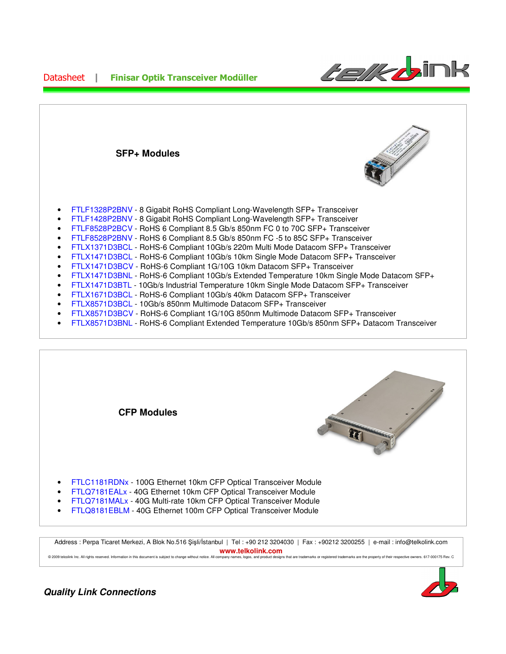

| <b>SFP+ Modules</b>                                                                                                                                                                                                                                                                                                                                                                                                                                                                                                                                                                                                                                                                                                                                                                                                                                                                                                                                                                                                                                                                                                                                                                                       |  |
|-----------------------------------------------------------------------------------------------------------------------------------------------------------------------------------------------------------------------------------------------------------------------------------------------------------------------------------------------------------------------------------------------------------------------------------------------------------------------------------------------------------------------------------------------------------------------------------------------------------------------------------------------------------------------------------------------------------------------------------------------------------------------------------------------------------------------------------------------------------------------------------------------------------------------------------------------------------------------------------------------------------------------------------------------------------------------------------------------------------------------------------------------------------------------------------------------------------|--|
| FTLF1328P2BNV - 8 Gigabit RoHS Compliant Long-Wavelength SFP+ Transceiver<br>FTLF1428P2BNV - 8 Gigabit RoHS Compliant Long-Wavelength SFP+ Transceiver<br>FTLF8528P2BCV - RoHS 6 Compliant 8.5 Gb/s 850nm FC 0 to 70C SFP+ Transceiver<br>$\bullet$<br>FTLF8528P2BNV - RoHS 6 Compliant 8.5 Gb/s 850nm FC -5 to 85C SFP+ Transceiver<br>FTLX1371D3BCL - RoHS-6 Compliant 10Gb/s 220m Multi Mode Datacom SFP+ Transceiver<br>$\bullet$<br>FTLX1471D3BCL - RoHS-6 Compliant 10Gb/s 10km Single Mode Datacom SFP+ Transceiver<br>$\bullet$<br>FTLX1471D3BCV - RoHS-6 Compliant 1G/10G 10km Datacom SFP+ Transceiver<br>$\bullet$<br>FTLX1471D3BNL - RoHS-6 Compliant 10Gb/s Extended Temperature 10km Single Mode Datacom SFP+<br>$\bullet$<br>FTLX1471D3BTL - 10Gb/s Industrial Temperature 10km Single Mode Datacom SFP+ Transceiver<br>$\bullet$<br>FTLX1671D3BCL - RoHS-6 Compliant 10Gb/s 40km Datacom SFP+ Transceiver<br>$\bullet$<br>FTLX8571D3BCL - 10Gb/s 850nm Multimode Datacom SFP+ Transceiver<br>$\bullet$<br>FTLX8571D3BCV - RoHS-6 Compliant 1G/10G 850nm Multimode Datacom SFP+ Transceiver<br>FTLX8571D3BNL - RoHS-6 Compliant Extended Temperature 10Gb/s 850nm SFP+ Datacom Transceiver |  |



Address : Perpa Ticaret Merkezi, A Blok No.516 Şişli/İstanbul | Tel : +90 212 3204030 | Fax : +90212 3200255 | e-mail : info@telkolink.com **www.telkolink.com**  © 2009 teloplink Inc. All rights reserved. Information in this document is subject to change without notice. All company names, logos, and product designs that are trademarks or registered trademarks are the property of th

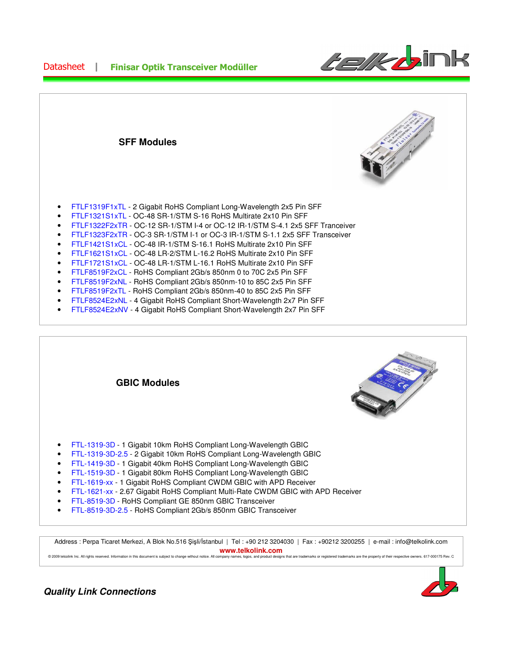

- FTLF1319F1xTL 2 Gigabit RoHS Compliant Long-Wavelength 2x5 Pin SFF
- FTLF1321S1xTL OC-48 SR-1/STM S-16 RoHS Multirate 2x10 Pin SFF
- FTLF1322F2xTR OC-12 SR-1/STM I-4 or OC-12 IR-1/STM S-4.1 2x5 SFF Tranceiver
- FTLF1323F2xTR OC-3 SR-1/STM I-1 or OC-3 IR-1/STM S-1.1 2x5 SFF Transceiver
- FTLF1421S1xCL OC-48 IR-1/STM S-16.1 RoHS Multirate 2x10 Pin SFF
- FTLF1621S1xCL OC-48 LR-2/STM L-16.2 RoHS Multirate 2x10 Pin SFF
- FTLF1721S1xCL OC-48 LR-1/STM L-16.1 RoHS Multirate 2x10 Pin SFF
- FTLF8519F2xCL RoHS Compliant 2Gb/s 850nm 0 to 70C 2x5 Pin SFF
- FTLF8519F2xNL RoHS Compliant 2Gb/s 850nm-10 to 85C 2x5 Pin SFF
- FTLF8519F2xTL RoHS Compliant 2Gb/s 850nm-40 to 85C 2x5 Pin SFF
- FTLF8524E2xNL 4 Gigabit RoHS Compliant Short-Wavelength 2x7 Pin SFF
- FTLF8524E2xNV 4 Gigabit RoHS Compliant Short-Wavelength 2x7 Pin SFF



Address : Perpa Ticaret Merkezi, A Blok No.516 Şişli/İstanbul | Tel : +90 212 3204030 | Fax : +90212 3200255 | e-mail : info@telkolink.com **www.telkolink.com** 

ect to change without notice. All company names, logos, and product designs that are trademarks or registered trademarks are the property of their respective owners. 617-000175 Rev. C



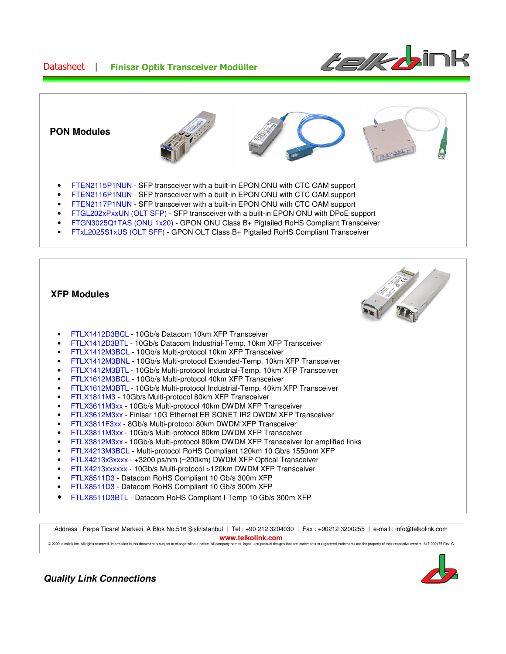





• FTLX8511D3BTL - Datacom RoHS Compliant I-Temp 10 Gb/s 300m XFP

Address : Perpa Ticaret Merkezi, A Blok No.516 Şişli/İstanbul | Tel : +90 212 3204030 | Fax : +90212 3200255 | e-mail : info@telkolink.com **www.telkolink.com**  © 2009 telcolink Inc. All rights reserved. Information in this document is subject to change without notice. All company names, logos, and product designs that are trademarks or registered trademarks are the property of th